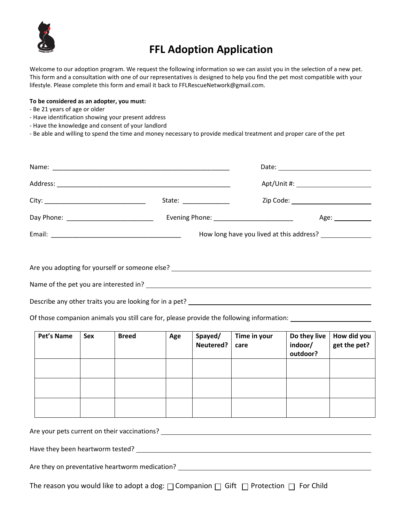

## **FFL Adoption Application**

Welcome to our adoption program. We request the following information so we can assist you in the selection of a new pet. This form and a consultation with one of our representatives is designed to help you find the pet most compatible with your lifestyle. Please complete this form and email it back to FFLRescueNetwork@gmail.com.

## **To be considered as an adopter, you must:**

- Be 21 years of age or older
- Have identification showing your present address
- Have the knowledge and consent of your landlord
- Be able and willing to spend the time and money necessary to provide medical treatment and proper care of the pet

|                                                                                   | State: ______________ |      |
|-----------------------------------------------------------------------------------|-----------------------|------|
|                                                                                   |                       | Age: |
|                                                                                   |                       |      |
|                                                                                   |                       |      |
| Are you adopting for yourself or someone else? __________________________________ |                       |      |
| Name of the pet you are interested in?                                            |                       |      |

Describe any other traits you are looking for in a pet?

Of those companion animals you still care for, please provide the following information:

| Pet's Name | Sex | <b>Breed</b> | Age | Spayed/<br>Neutered? | Time in your<br>care | Do they live<br>indoor/<br>outdoor? | How did you<br>get the pet? |
|------------|-----|--------------|-----|----------------------|----------------------|-------------------------------------|-----------------------------|
|            |     |              |     |                      |                      |                                     |                             |
|            |     |              |     |                      |                      |                                     |                             |
|            |     |              |     |                      |                      |                                     |                             |

Are your pets current on their vaccinations?

Have they been heartworm tested?

Are they on preventative heartworm medication?

The reason you would like to adopt a dog:  $\Box$  Companion  $\Box$  Gift  $\Box$  Protection  $\Box$  For Child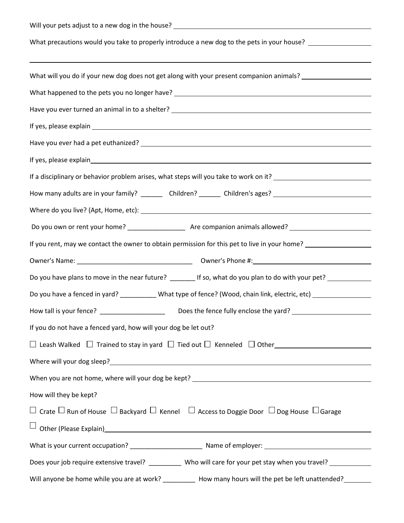| What precautions would you take to properly introduce a new dog to the pets in your house? __________________              |  |  |  |  |  |
|----------------------------------------------------------------------------------------------------------------------------|--|--|--|--|--|
|                                                                                                                            |  |  |  |  |  |
| What will you do if your new dog does not get along with your present companion animals? ____________________              |  |  |  |  |  |
| What happened to the pets you no longer have? __________________________________                                           |  |  |  |  |  |
| Have you ever turned an animal in to a shelter? _________________________________                                          |  |  |  |  |  |
|                                                                                                                            |  |  |  |  |  |
|                                                                                                                            |  |  |  |  |  |
|                                                                                                                            |  |  |  |  |  |
| If a disciplinary or behavior problem arises, what steps will you take to work on it? ________________________             |  |  |  |  |  |
| How many adults are in your family? _________ Children? _______ Children's ages? ____________________________              |  |  |  |  |  |
|                                                                                                                            |  |  |  |  |  |
|                                                                                                                            |  |  |  |  |  |
| If you rent, may we contact the owner to obtain permission for this pet to live in your home? ________________             |  |  |  |  |  |
|                                                                                                                            |  |  |  |  |  |
| Do you have plans to move in the near future? ________ If so, what do you plan to do with your pet? __________             |  |  |  |  |  |
| Do you have a fenced in yard? ____________ What type of fence? (Wood, chain link, electric, etc) _____________             |  |  |  |  |  |
| How tall is your fence? _____________________                                                                              |  |  |  |  |  |
| If you do not have a fenced yard, how will your dog be let out?                                                            |  |  |  |  |  |
|                                                                                                                            |  |  |  |  |  |
|                                                                                                                            |  |  |  |  |  |
|                                                                                                                            |  |  |  |  |  |
| How will they be kept?                                                                                                     |  |  |  |  |  |
| $\Box$ Crate $\Box$ Run of House $\Box$ Backyard $\Box$ Kennel $\Box$ Access to Doggie Door $\Box$ Dog House $\Box$ Garage |  |  |  |  |  |
|                                                                                                                            |  |  |  |  |  |
|                                                                                                                            |  |  |  |  |  |
| Does your job require extensive travel? _________ Who will care for your pet stay when you travel? __________              |  |  |  |  |  |
| Will anyone be home while you are at work? ___________ How many hours will the pet be left unattended? _______             |  |  |  |  |  |